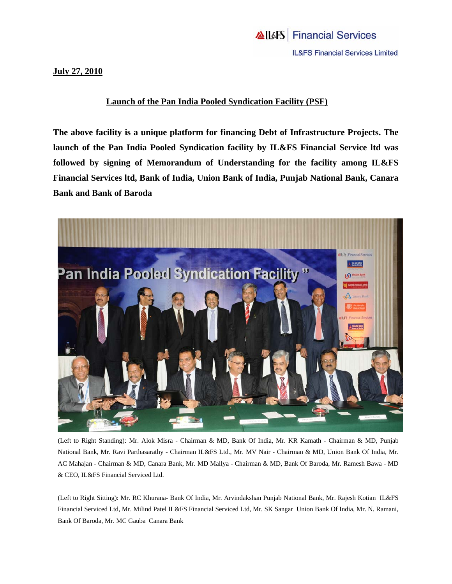## **July 27, 2010**

## **Launch of the Pan India Pooled Syndication Facility (PSF)**

**The above facility is a unique platform for financing Debt of Infrastructure Projects. The launch of the Pan India Pooled Syndication facility by IL&FS Financial Service ltd was followed by signing of Memorandum of Understanding for the facility among IL&FS Financial Services ltd, Bank of India, Union Bank of India, Punjab National Bank, Canara Bank and Bank of Baroda** 



(Left to Right Standing): Mr. Alok Misra - Chairman & MD, Bank Of India, Mr. KR Kamath - Chairman & MD, Punjab National Bank, Mr. Ravi Parthasarathy - Chairman IL&FS Ltd., Mr. MV Nair - Chairman & MD, Union Bank Of India, Mr. AC Mahajan - Chairman & MD, Canara Bank, Mr. MD Mallya - Chairman & MD, Bank Of Baroda, Mr. Ramesh Bawa - MD & CEO, IL&FS Financial Serviced Ltd.

(Left to Right Sitting): Mr. RC Khurana- Bank Of India, Mr. Arvindakshan Punjab National Bank, Mr. Rajesh Kotian IL&FS Financial Serviced Ltd, Mr. Milind Patel IL&FS Financial Serviced Ltd, Mr. SK Sangar Union Bank Of India, Mr. N. Ramani, Bank Of Baroda, Mr. MC Gauba Canara Bank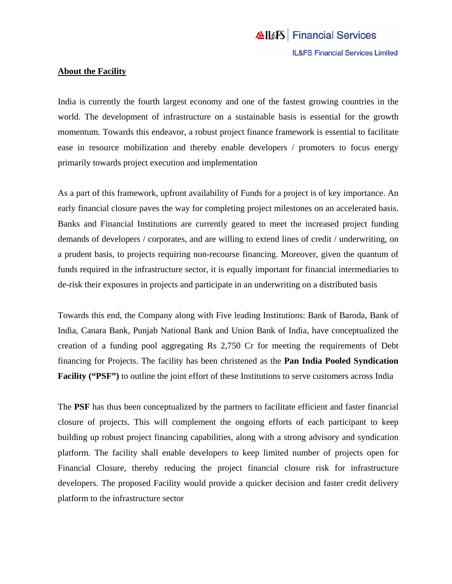## **About the Facility**

India is currently the fourth largest economy and one of the fastest growing countries in the world. The development of infrastructure on a sustainable basis is essential for the growth momentum. Towards this endeavor, a robust project finance framework is essential to facilitate ease in resource mobilization and thereby enable developers / promoters to focus energy primarily towards project execution and implementation

As a part of this framework, upfront availability of Funds for a project is of key importance. An early financial closure paves the way for completing project milestones on an accelerated basis. Banks and Financial Institutions are currently geared to meet the increased project funding demands of developers / corporates, and are willing to extend lines of credit / underwriting, on a prudent basis, to projects requiring non-recourse financing. Moreover, given the quantum of funds required in the infrastructure sector, it is equally important for financial intermediaries to de-risk their exposures in projects and participate in an underwriting on a distributed basis

Towards this end, the Company along with Five leading Institutions: Bank of Baroda, Bank of India, Canara Bank, Punjab National Bank and Union Bank of India, have conceptualized the creation of a funding pool aggregating Rs 2,750 Cr for meeting the requirements of Debt financing for Projects. The facility has been christened as the **Pan India Pooled Syndication Facility ("PSF")** to outline the joint effort of these Institutions to serve customers across India

The **PSF** has thus been conceptualized by the partners to facilitate efficient and faster financial closure of projects. This will complement the ongoing efforts of each participant to keep building up robust project financing capabilities, along with a strong advisory and syndication platform. The facility shall enable developers to keep limited number of projects open for Financial Closure, thereby reducing the project financial closure risk for infrastructure developers. The proposed Facility would provide a quicker decision and faster credit delivery platform to the infrastructure sector